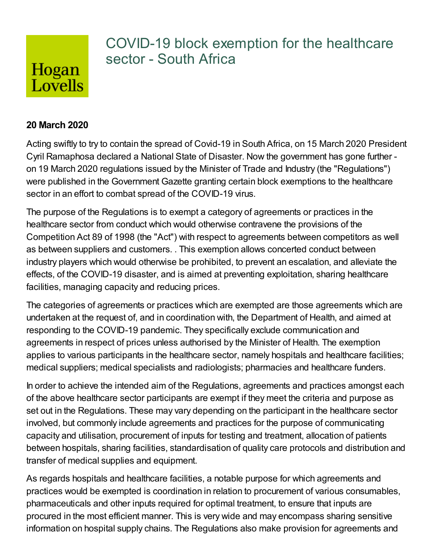

## COVID-19 block exemption for the healthcare sector - South Africa

## **20 March 2020**

Acting swiftly to try to contain the spread of Covid-19 in South Africa, on 15 March 2020 President Cyril Ramaphosa declared a National State of Disaster. Now the government has gone further on 19 March 2020 regulations issued by the Minister of Trade and Industry (the "Regulations") were published in the Government Gazette granting certain block exemptions to the healthcare sector in an effort to combat spread of the COVID-19 virus.

The purpose of the Regulations is to exempt a category of agreements or practices in the healthcare sector from conduct which would otherwise contravene the provisions of the Competition Act 89 of 1998 (the "Act") with respect to agreements between competitors as well as between suppliers and customers. . This exemption allows concerted conduct between industry players which would otherwise be prohibited, to prevent an escalation, and alleviate the effects, of the COVID-19 disaster, and is aimed at preventing exploitation, sharing healthcare facilities, managing capacity and reducing prices.

The categories of agreements or practices which are exempted are those agreements which are undertaken at the request of, and in coordination with, the Department of Health, and aimed at responding to the COVID-19 pandemic. They specifically exclude communication and agreements in respect of prices unless authorised by the Minister of Health. The exemption applies to various participants in the healthcare sector, namely hospitals and healthcare facilities; medical suppliers; medical specialists and radiologists; pharmacies and healthcare funders.

In order to achieve the intended aim of the Regulations, agreements and practices amongst each of the above healthcare sector participants are exempt if they meet the criteria and purpose as set out in the Regulations. These may vary depending on the participant in the healthcare sector involved, but commonly include agreements and practices for the purpose of communicating capacity and utilisation, procurement of inputs for testing and treatment, allocation of patients between hospitals, sharing facilities, standardisation of quality care protocols and distribution and transfer of medical supplies and equipment.

As regards hospitals and healthcare facilities, a notable purpose for which agreements and practices would be exempted is coordination in relation to procurement of various consumables, pharmaceuticals and other inputs required for optimal treatment, to ensure that inputs are procured in the most efficient manner. This is very wide and may encompass sharing sensitive information on hospital supply chains. The Regulations also make provision for agreements and